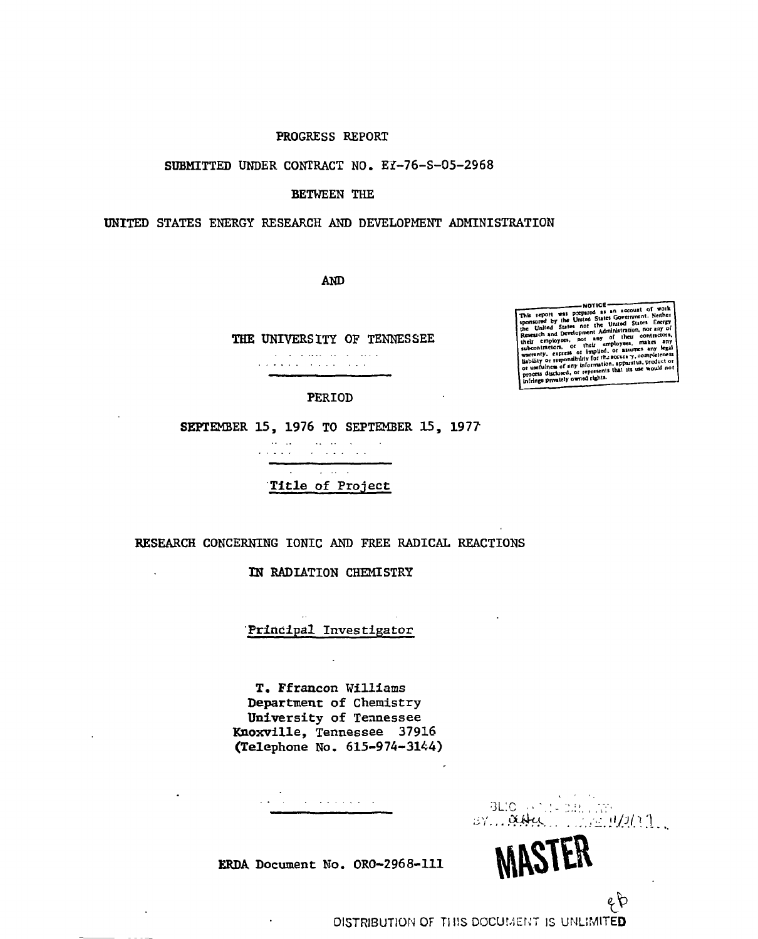### PROGRESS REPORT

#### SUBMITTED UNDER CONTRACT NO. EY-76-S-05-2968

### BETWEEN THE

#### UNITED STATES ENERGY RESEARCH AND DEVELOPMENT ADMINISTRATION

AND

THE UNIVERSITY OF TENNESSEE the contract of the contract of the  $\mathbf{r}_i$  ,  $\mathbf{r}_i$  ,  $\mathbf{r}_i$  ,  $\mathbf{r}_i$  ,  $\mathbf{r}_i$  ,  $\mathbf{r}_i$  ,  $\mathbf{r}_i$  ,  $\mathbf{r}_i$  ,  $\mathbf{r}_i$  ,  $\mathbf{r}_i$  ,  $\mathbf{r}_i$ 

### PERIOD

SEPTEMBER 15, 1976 TO SEPTEMBER 15, 1977

 $\mathcal{L}_{\mathcal{F}}$  ,  $\mathcal{L}_{\mathcal{F}}$  ,  $\mathcal{L}_{\mathcal{F}}$  $\sim 100$  km s  $^{-1}$  km s  $^{-1}$ المتمر والمتحارب والمراوية والمناورة  $\mathbf{A}$  $\alpha$  ,  $\alpha$  ,  $\alpha$  ,  $\alpha$  ,  $\alpha$ Title of Project

# RESEARCH CONCERNING IONIC AND FREE RADICAL REACTIONS

### IN RADIATION CHEMISTRY

### Principal Investigator

 $\ddot{\phantom{a}}$ 

T. Ffrancon Williams Department of Chemistry University of Tennessee Knoxville, Tennessee 37916 (Telephone No. 615-974-3144)

> • • "3L' *^* \* 1 ; \* " ;iV. , *. CfJiirC^* ' 7'.';*I'PJ.^l*

> > *&*

WHOIEN

ERDA Document No. ORO-2968-111

This report was prepared as an account of work<br>sponkored by the United States Government. Neither Research and Development rain of their contractors,<br>their employees, not any of their contractors,<br>subcontractors, or their employees, makes any legal  $in$   $binom{m}{k}$   $in$   $binom{m}{k}$   $in$   $binom{m}{k}$   $in$   $binom{m}{k}$   $in$   $binom{m}{k}$   $in$   $binom{m}{k}$   $in$   $binom{m}{k}$   $in$   $binom{m}{k}$   $in$   $binom{m}{k}$   $in$   $binom{m}{k}$   $in$   $binom{m}{k}$   $in$   $binom{m}{k}$   $in$   $binom{m}{k}$   $in$   $binom{m}{k}$   $in$   $binom{m}{k}$   $in$   $binom{m}{k$ 

DISTRIBUTION OF THIS DOCUMENT IS UNLIMITED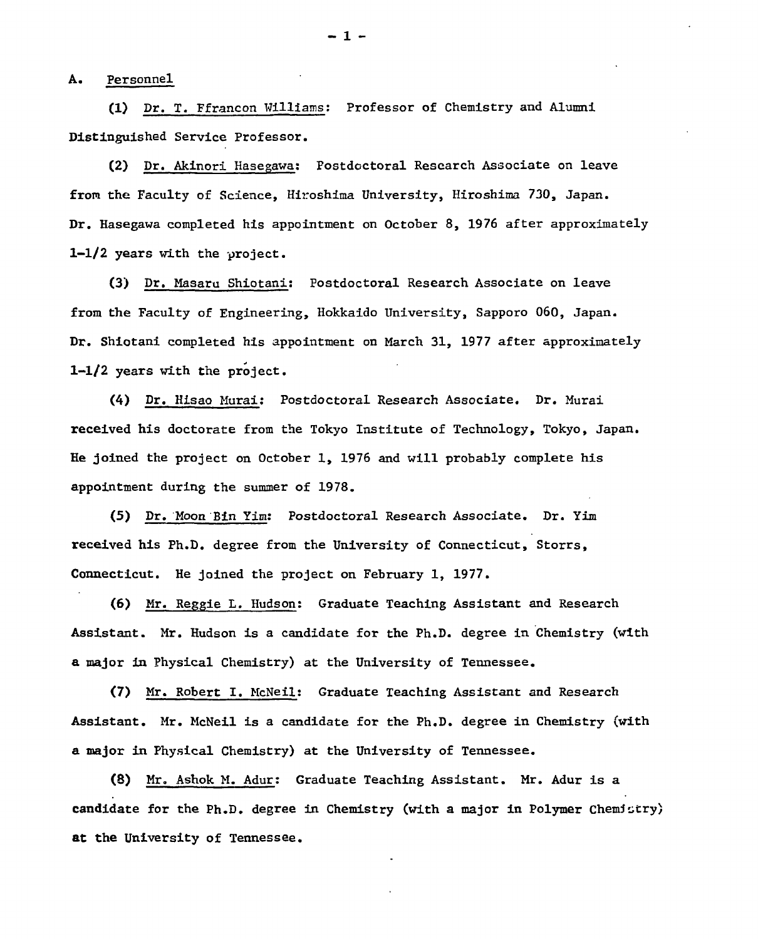A. Personnel

**(1) Dr. T. Ffrancon Williams; Professor of Chemistry and Alumni Distinguished Service Professor.** 

**(2) Dr. Akinori Hasegawa; Postdoctoral Research Associate on leave from the Faculty of Science, Hiroshima University, Hiroshima 730, Japan. Dr. Hasegawa completed his appointment on October 8, 1976 after approximately 1-1/2 years with the project.** 

**(3) Dr. Masaru Shiotani: Postdoctoral Research Associate on leave from the Faculty of Engineering, Hokkaido University, Sapporo 060, Japan. Dr. Shiotani completed his appointment on March 31, 1977 after approximately 1-1/2 years with the project.** 

**(4) Dr. Hisao Murai: Postdoctoral Research Associate. Dr. Murai received his doctorate from the Tokyo Institute of Technology, Tokyo, Japan. He joined the project on October 1, 1976 and will probably complete his appointment during the summer of 1978.** 

**(5) Dr. Moon Bin Yim? Postdoctoral Research Associate. Dr. Yim received his Ph.D. degree from the University of Connecticut, Storrs, Connecticut. He joined the project on February 1, 1977.** 

**(6) Mr. Reggie L. Hudson; Graduate Teaching Assistant and Research Assistant. Mr. Hudson is a candidate for the Ph.D. degree in Chemistry (with a major in Physical Chemistry) at the University of Tennessee.** 

**(7) Mr. Robert I. McNeil: Graduate Teaching Assistant and Research Assistant. Mr. McNeil is a candidate for the Ph.D. degree in Chemistry (with a major in Physical Chemistry) at the University of Tennessee.** 

**(8) Mr. Ashok M. Adur: Graduate Teaching Assistant. Mr. Adur is a candidate for the Ph.D. degree in Chemistry (with a major in Polymer Chemistry)**  at the **University of Tennessee.** 

- 1 -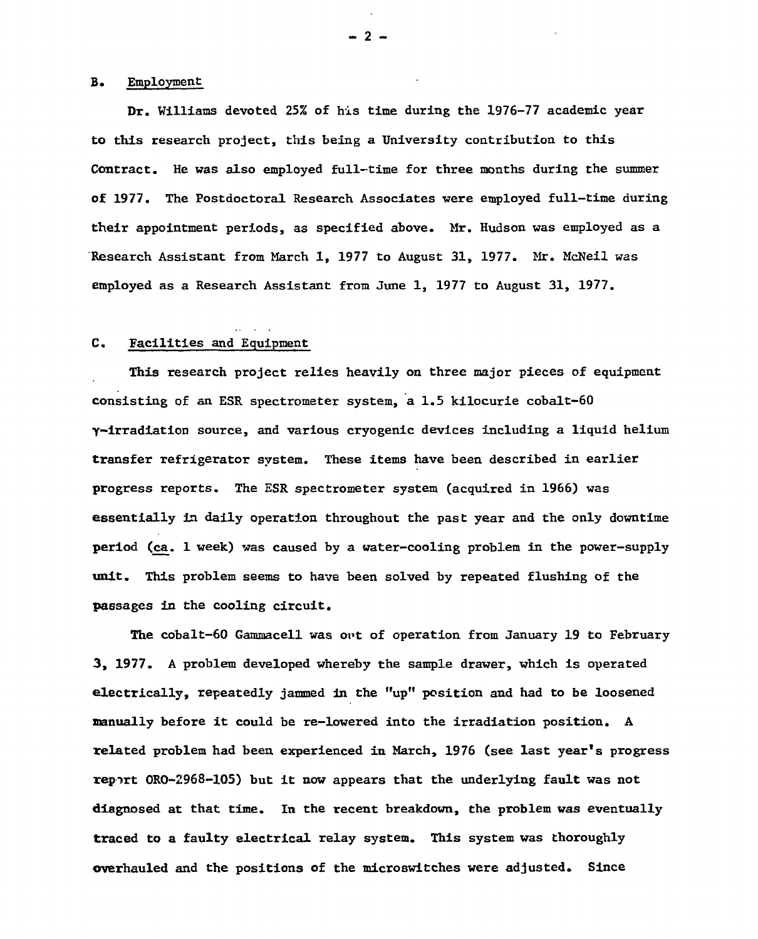# B. Employment

**Dr. Williams devoted 25% of his time during the 1976-77 academic year to this research project, this being a University contribution to this Contract. He was also employed full-time for three months during the summer of 1977. The Postdoctoral Research Associates were employed full-time during their appointment periods, as specified above. Mr. Hudson was employed as a Research Assistant from March 1, 1977 to August 31, 1977. Mr. McNeil was employed as a Research Assistant from June 1, 1977 to August 31, 1977.** 

# **C. Facilities and Equipment**

**This research project relies heavily on three major pieces of equipment consisting of an ESR spectrometer system, a 1.5 kilocurie cobalt-60 y-irradiation source, and various cryogenic devices including a liquid helium transfer refrigerator system. These items have been described in earlier progress reports. The ESR spectrometer system (acquired in 1966) was essentially in daily operation throughout the past year and the only downtime period (ca. 1 week) was caused by a water-cooling problem in the power-supply unit. This problem seems to have been solved by repeated flushing of the passages in the cooling circuit.** 

**The cobalt-60 Gammacell was art of operation from January 19 to February 3, 1977. A problem developed whereby the sample drawer, which is operated electrically, repeatedly jammed in the "up" position and had to be loosened manually before it could be re-lowered into the irradiation position. A related problem had been experienced in March, 1976 (see last year's progress report 0R0-2968-105) but it now appears that the underlying fault was not diagnosed at that time. In the recent breakdown, the problem was eventually traced to a faulty electrical relay system. This system was thoroughly overhauled and the positions of the microswitches were adjusted. Since** 

 $-2$  -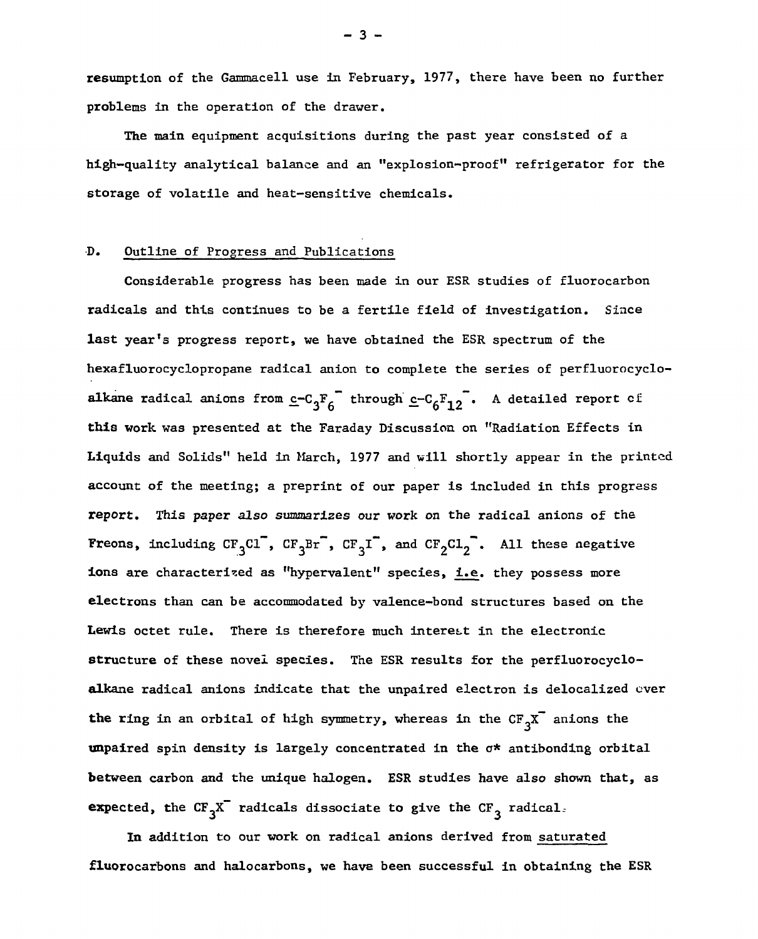**resumption of the Gammacell use in February, 1977, there have been no further problems in the operation of the drawer.** 

**The main equipment acquisitions during the past year consisted of a high-quality analytical balance and an "explosion-proof" refrigerator for the storage of volatile and heat-sensitive chemicals.** 

### **D. Outline of Progress and Publications**

**Considerable progress has been made in our ESR studies of fluorocarbon radicals and this continues to be a fertile field of investigation. Since last year's progress report, we have obtained the ESR spectrum of the hexafluorocyclopropane radical anion to complete the series of perfluorocycloalkane radical anions from c-C<sub>o</sub>F<sub>s</sub><sup>-</sup></del> through c-C<sub>o</sub>F<sub>10</sub>. A detailed report cf this work was presented at the Faraday Discussion on "Radiation Effects in Liquids and Solids" held in March, 1977 and will shortly appear in the printed account of the meeting; a preprint of our paper is included in this progress report. This** *paper also* **summarizes our work on the radical anions of the Freons, including**  $CF_3Cl^7$ **,**  $CF_3Br^7$ **,**  $CF_3I^7$ **, and**  $CF_2Cl_2^7$ **. All these negative ions are characterised as "hypervalent" species, i.e. they possess more electrons than can be accommodated by valence-bond structures based on the Lewis octet rule. There is therefore much interest in the electronic structure of these novel species. The ESR results for the perfluorocycloalkane radical anions indicate that the unpaired electron is delocalized ever the ring in an orbital of high symmetry, whereas in the CF^X- anions the unpaired spin density is largely concentrated in the o\* antibonding orbital between carbon and the unique halogen. ESR studies have also shown that, as expected, the CF^X- radicals dissociate to give the CF^ radical** 

**In addition to our work on radical anions derived from saturated fluorocarbons and halocarbons, we have been successful in obtaining the ESR** 

- 3 -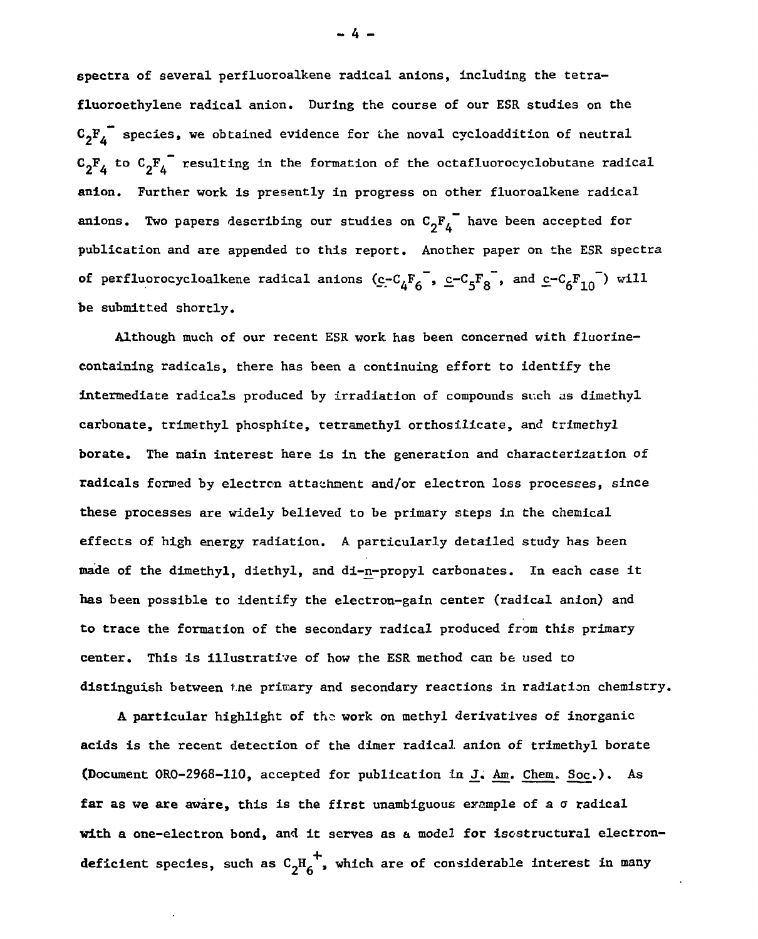**spectra of several perfluoroalkene radical anions, including the tetrafluoroethylene radical anion. During the course of our ESR studies on the**   $\mathbf{c}_2 \mathbf{F}_4^{\mathbf{m}}$  species, we obtained evidence for the noval cycloaddition of neutral  $c_2F_4$  to  $c_2F_4$  resulting in the formation of the octafluorocyclobutane radical **anion. Further work is presently in progress on other fluoroalkene radical anions.** Two papers describing our studies on  $C_2F_4$  have been accepted for **publication and are appended to this report. Another paper on the ESR spectra of** perfluorocycloalkene radical anions  $(c - c_4F_6^-$ ,  $c - c_5F_8^-$ , and  $c - c_6F_{10}^-$ ) will **be submitted shortly.** 

**Although much of our recent ESR work has been concerned with fluorinecontaining radicals, there has been a continuing effort to identify the intermediate radicals produced by irradiation of compounds such as dimethyl carbonate, trimethyl phosphite, tetramethyl orthosilicate, and trimethyl borate. The main interest here is in the generation and characterization of radicals formed by electron attachment and/or electron loss processes, since these processes are widely believed to be primary steps in the chemical effects of high energy radiation. A particularly detailed study has been made of the dimethyl, diethyl, and di-n-propyl carbonates. In each case it has been possible to identify the electron-gain center (radical anion) and to trace the formation of the secondary radical produced from this primary center. This is illustrative of how the ESR method can be used to distinguish between the primary and secondary reactions in radiation chemistry.** 

**A particular highlight of the. work on methyl derivatives of inorganic acids is the recent detection of the dimer radical anion of trimethyl borate (Document 0R0-2968-110, accepted for publication in J. Am. Chem. Soc.). As**  far as we are aware, this is the first unambiguous example of a  $\sigma$  radical **with a one-electron bond, and it serves as a model for iscstructural electron deficient species, such as**  $C_2H_6^+$ **, which are of considerable interest in many** 

 $-4 -$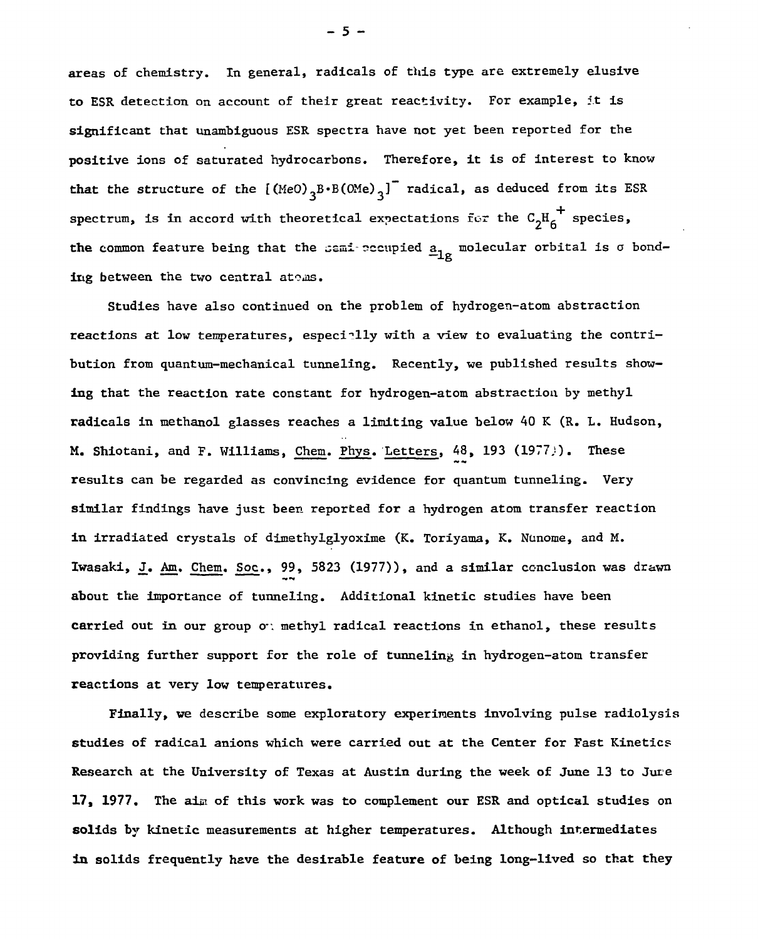**areas of chemistry. In general, radicals of this type are extremely elusive to ESR detection on account of their great reactivity. For example, it is significant that unambiguous ESR spectra have not yet been reported for the positive ions of saturated hydrocarbons. Therefore, it is of interest to know**  that the structure of the  $[(\text{MeO})_3B \cdot B(\text{OMe})_3]$ <sup>-</sup> radical, as deduced from its ESR **spectrum, is in accord with theoretical expectations for the**  $C_2H_6^{\dagger}$  **species,** the common feature being that the semi occupied  $\underline{a}_{1g}$  molecular orbital is  $\sigma$  bond**ing between the two central atoms.** 

**Studies have also continued on the problem of hydrogen-atom abstraction**  reactions at low temperatures, especially with a view to evaluating the contri**bution from quantum-mechanical tunneling. Recently, we published results showing that the reaction rate constant for hydrogen-atom abstraction by methyl radicals in methanol glasses reaches a limiting value below 40 K (R. L. Hudson, M. Shiotani, and F. Williams, Chem. Phys. Letters, 48, 193 (1977;). These** *m\** **a\* results can be regarded as convincing evidence for quantum tunneling. Very similar findings have just been reported for a hydrogen atom transfer reaction in irradiated crystals of dimethyIglyoxime (K. Toriyama, K. Nunome, and M. Iwasaki, J. Am. Chem. Soc., 99, 5823 (1977)), and a similar conclusion was drawn about the importance of tunneling. Additional kinetic studies have been carried out in our group o**: methyl radical reactions in ethanol, these results **providing further support for the role of tunneling in hydrogen-atom transfer reactions at very low temperatures.** 

**Finally, we describe some exploratory experiments involving pulse radiolysis studies of radical anions which were carried out at the Center for Fast Kinetics Research at the University of Texas at Austin during the week of June 13 to Jure 17, 1977. The aim of this work was to complement our ESR and optical studies on solids by kinetic measurements at higher temperatures. Although intermediates in solids frequently have the desirable feature of being long-lived so that they** 

 $-5 -$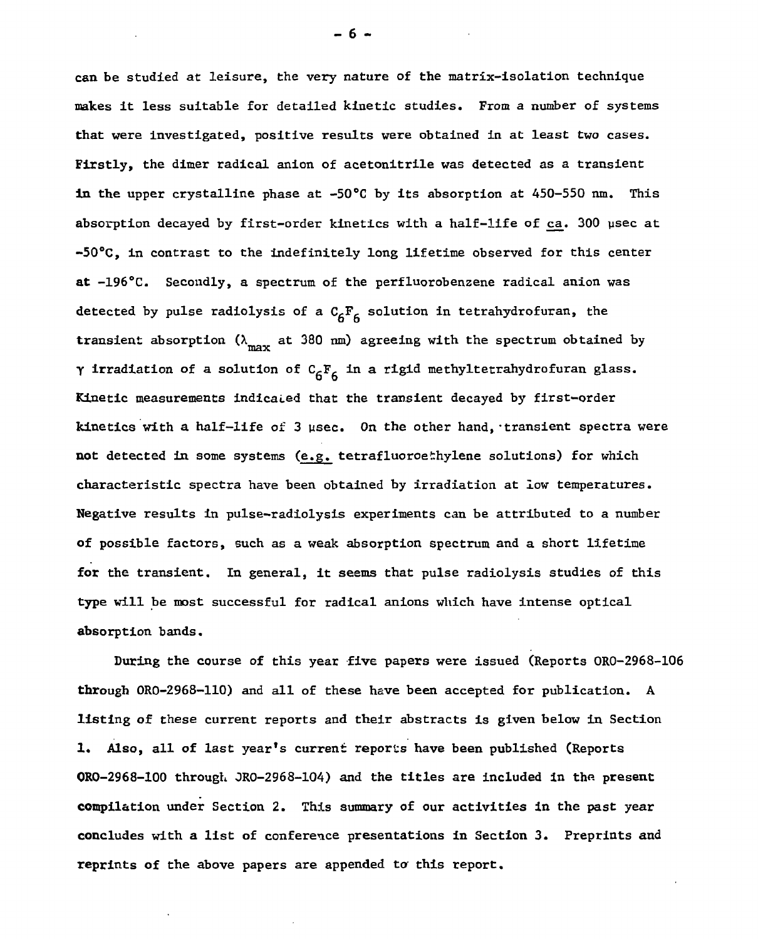**can be studied at leisure, the very nature of the matrix-isolation technique makes it less suitable for detailed kinetic studies. From a number of systems that were investigated, positive results were obtained in at least two cases. Firstly, the dimer radical anion of acetonitrile was detected as a transient in the upper crystalline phase at -50°C by its absorption at 450-550 nm. This absorption decayed by first-order kinetics with a half-life of ca. 300 ysec at -50°C, in contrast to the indefinitely long lifetime observed for this center at -196°C. Secondly, a spectrum of the perfluorobenzene radical anion was**  detected by pulse radiolysis of a C<sub>6</sub>F<sub>6</sub> solution in tetrahydrofuran, the **transient absorption (** $\lambda^{\text{max}}$  **at 380 nm) agreeing with the spectrum obtained by** *y* **irradiation of a solution of CgFg in a rigid methyltetrahydrofuran glass.**  Kinetic measurements indicaled that the transient decayed by first-order kinetics with a half-life of 3 usec. On the other hand, transient spectra were **not detected in some systems (e.g. tetrafluoroethylene solutions) for which characteristic spectra have been obtained by irradiation at low temperatures. Negative results in pulse-radiolysis experiments can be attributed to a number of possible factors, such as a weak absorption spectrum and a short lifetime for the transient. In general, it seems that pulse radiolysis studies of this type will be most successful for radical anions which have intense optical absorption bands.** 

**During the course of this year five papers were issued (Reports OR0-2968-106 through 0R0-2968-110) and all of these have been accepted for publication. A listing of these current reports and their abstracts is given below in Section 1.** Also, all of last year's current reports have been published (Reports ORO-2968**-lOO through 0RO-2968-1O4) and the titles are included in the present compilation under Section 2. This summary of our activities in the past year concludes with a list of conference presentations in Section 3. Preprints and**  reprints of the above papers are appended to this report.

- 6 -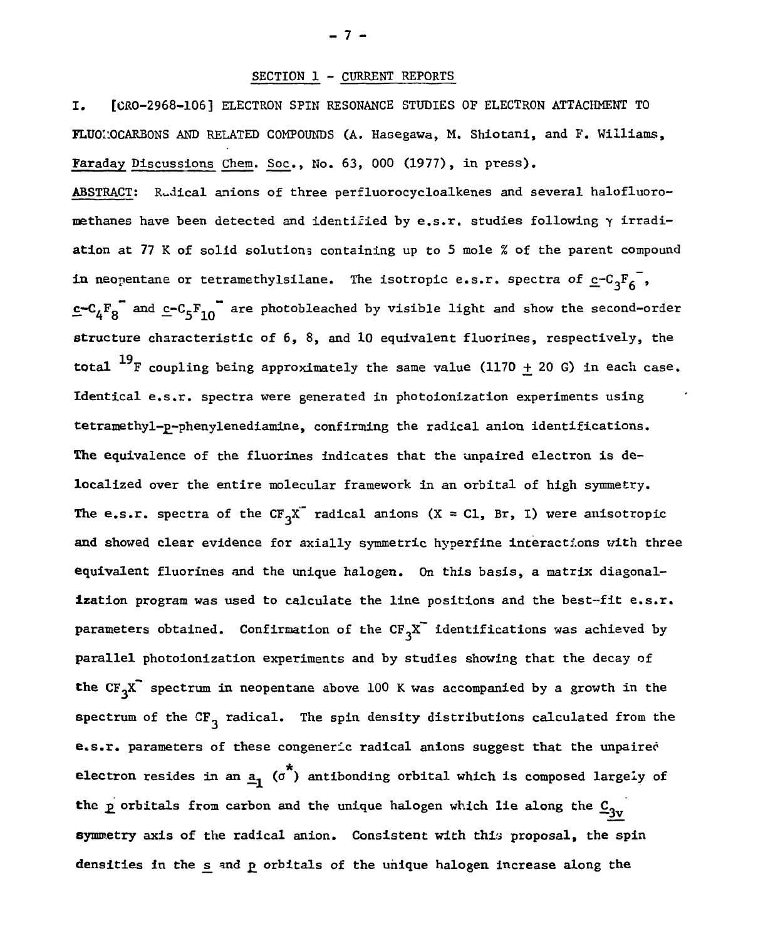### **SECTION 1 - CURRENT REPORTS**

**I. [CR0-2968-106] ELECTRON SPIN RESONANCE STUDIES OF ELECTRON ATTACHMENT TO FLUOI'.QCARBONS AND RELATED COMPOUNDS (A. Hasegawa, M. Shiotani, and F. Williams, Faraday Discussions Chem. Soc., No. 63, 000 (1977), in press).** 

**ABSTRACT: Radical anions of three perfluorocycloalkenes and several halofluoromethanes have been detected and identified by e.s.r. studies following y irradiation at 77 K of solid solutions containing up to 5 mole % of the parent compound in neopentane or tetramethylsilane.** The isotropic e.s.r. spectra of  $c-c_3F_6^-$ , **e-C<sub>A</sub>F<sub>g</sub> and c-C<sub>5</sub>F<sub>10</sub> are photobleached by visible light and show the second-order structure characteristic of 6, 8, and 10 equivalent fluorines, respectively, the total**  $^{19}$ F coupling being approximately the same value (1170  $\pm$  20 G) in each case. **Identical e.s.r. spectra were generated in photoionization experiments using** tetramethyl-p-phenylenediamine, confirming the radical anion identifications. The equivalence of the fluorines indicates that the unpaired electron is de**localized over the entire molecular framework in an orbital of high symmetry.** The e.s.r. spectra of the  $CF_3X^T$  radical anions  $(X = CL, Br, I)$  were anisotropic and showed clear evidence for axially symmetric hyperfine interactions with three **equivalent fluorines and the unique halogen.** On this basis, a matrix diagonal**ization program was used to calculate the line positions and the best-fit e.s.r. parameters obtained.** Confirmation of the  $CF_3X^T$  identifications was achieved by **parallel** photoionization experiments and by studies showing that the decay of the  $CF_3X^T$  spectrum in neopentane above 100 K was accompanied by a growth in the spectrum of the CF<sub>3</sub> radical. The spin density distributions calculated from the **e.s.r. parameters of these congeneric radical anions suggest that the unpaired electron** resides in an  $\underline{a}_1$  ( $\sigma^*$ ) antibonding orbital which is composed largely of the p orbitals from carbon and the unique halogen which lie along the  $\underline{c}_{3v}$ symmetry axis of the radical anion. Consistent with this proposal, the spin densities in the s and p orbitals of the unique halogen increase along the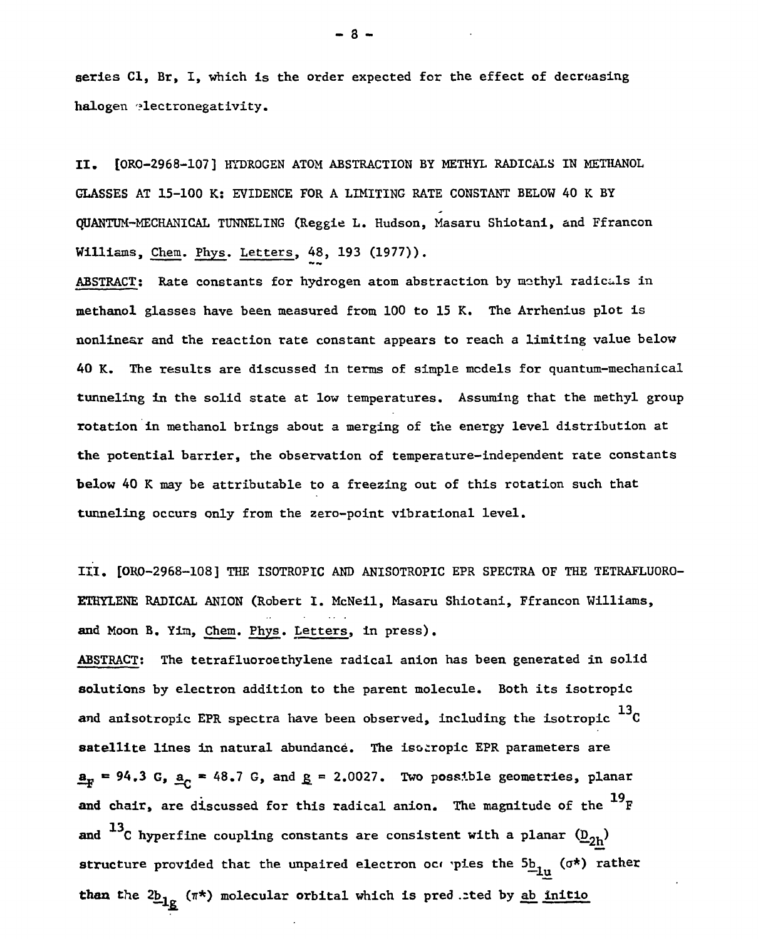**series CI, Br, I, which is the order expected for the effect of decreasing halogen electronegativity.** 

II. [ORO-2968-107] HYDROGEN ATOM ABSTRACTION BY METHYL RADICALS IN METHANOL **GLASSES AT 15-100 K: EVIDENCE FOR A LIMITING RATE CONSTANT BELOW 40 K BY QUANTUM-MECHANICAL TUNNELING (Reggie L. Hudson, Masaru Shiotani, and Ffrancon Williams, Chem. Phys. Letters, 48, 193 (1977)).** 

**ABSTRACT: Rate constants for hydrogen atom abstraction by mothyl radicals in methanol glasses have been measured from 100 to 15 K. The Arrhenius plot is nonlinear and the reaction rate constant appears to reach a limiting value below 40 K. The results are discussed in terms of simple models for quantum-mechanical tunneling in the solid state at low temperatures. Assuming that the methyl group rotation in methanol brings about a merging of the energy level distribution at the potential barrier, the observation of temperature-independent rate constants below 40 K may be attributable to a freezing out of this rotation such that tunneling occurs only from the zero-point vibrational level.** 

**III. [OR0-2968-108] THE ISOTROPIC AND ANISOTROPIC EPR SPECTRA OF THE TETRAFLUORO-ETHYLENE RADICAL ANION (Robert I. McNeil, Masaru Shiotani, Ffrancon Williams, and Moon B. Yim, Chem. Phys. Letters, in press).** 

**ABSTRACT: The tetrafluoroethylene radical anion has been generated in solid solutions by electron addition to the parent molecule. Both its isotropic**  and anisotropic EPR spectra have been observed, including the isotropic  $^{13}$ C **and anisotropic EPR spectra have been observed, including the isotropic C**   $\underline{\mathbf{a}}_F = 94.3 \, \text{G}$ ,  $\underline{\mathbf{a}}_c = 48.7 \, \text{G}$ , and  $\underline{\mathbf{g}} = 2.0027$ . Two possible geometries, planar **= 94.3 G, a^ • 48.7 G, and j> = 2.0027. Two possible geometries, planar 19 and chair, are discussed for this radical anion. The magnitude of the F**  and  $^{13}$ C hyperfine coupling constants are consistent with a planar  $(\underline{D}_{2h})$ **atructure** provided that the unpaired electron oce pies the  $5b_{1u}$  ( $\sigma$ \*) rather than the  $2\underline{b}_{1g}$  ( $\pi^*$ ) molecular orbital which is pred sted by <u>ab initio</u>

**than the 2b, (**IT**\*) molecular orbital which is pred .;ted by ab initio** 

- 3 -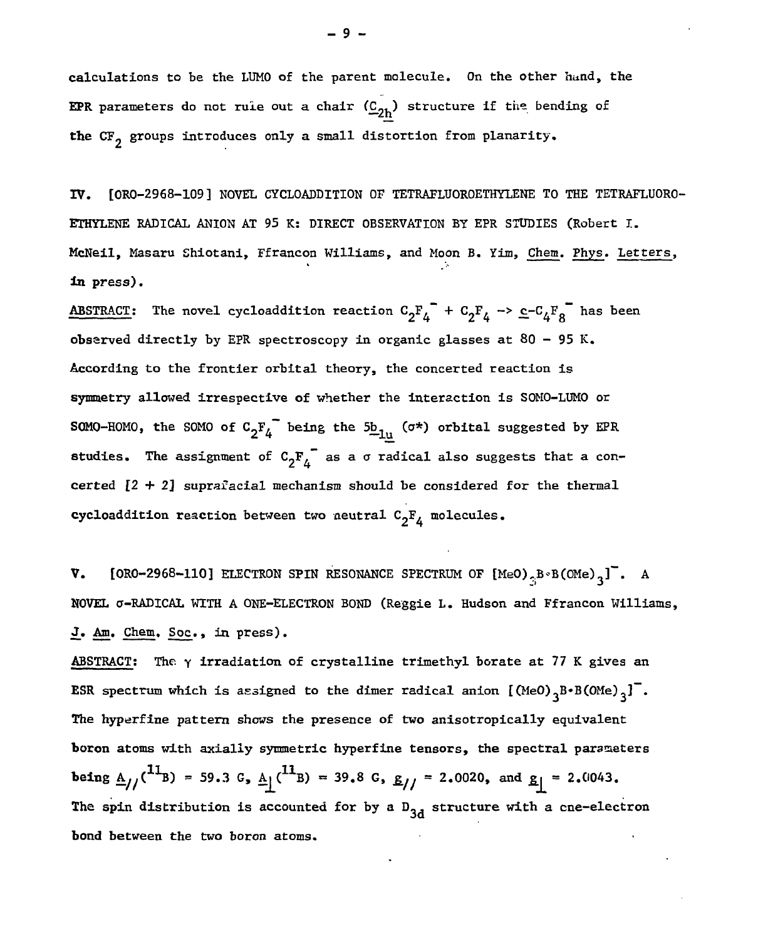**calculations to be the LUMO of the parent molecule. On the other hand, the EPR** parameters do not rule out a chair  $(\underline{C}_{2h})$  structure if the bending of the CF<sub>2</sub> groups introduces only a small distortion from planarity.

**IV. [ORO-2968-109] NOVEL CYCLOADDITION OF TETRAFLUOROETHYLENE TO THE TETRAFLUORO-ETHYLENE RADICAL ANION AT 95 K: DIRECT OBSERVATION BY EPR STUDIES (Robert I. McNeil, Masaru Shiotani, Ffrancon Williams, and Moon B. Yim, Chem. Phys. Letters, in press).** 

**ABSTRACT:** The novel cycloaddition reaction  $C_2F_4^- + C_2F_4 \rightarrow c-C_4F_8^-$  has been **obsarved directly by EPR spectroscopy in organic glasses at 80 - 95 K. According to the frontier orbital theory, the concerted reaction is symmetry allowed irrespective of whether the interaction is S0M0-LUM0 or SOMO-HOMO, the SOMO of**  $C^{}_{2}F^{}_{4}$  being the  $5b^{}_{11}$ , ( $\sigma^{\star}$ ) orbital suggested by EPR **studies.** The assignment of  $C^{\text{F}}_{\text{A}}$  as a  $\sigma$  radical also suggests that a con**certed** *[2* **+ 2] suprafacial mechanism should be considered for the thermal cycloaddition reaction between two neutral**  $C_2F_4$  **molecules.** 

**V.** [ORO-2968-110] ELECTRON SPIN RESONANCE SPECTRUM OF  $[MeO]_{\gamma}B \cdot B(0Me)_{\gamma}$ ]. A NOVEL  $\sigma$ -RADICAL WITH A ONE-ELECTRON BOND (Reggie L. Hudson and Ffrancon Williams, **J. Am. Chem. Soc., in press).** 

**ABSTRACT; The y irradiation of crystalline trimethyl borate at 77 K gives an ESR** spectrum which is assigned to the dimer radical anion  $[(Me0)_{q}B \cdot B(0Me)_{q}]$ . **The hyperfine pattern shows the presence of two anisotropically equivalent boron atoms with axially symmetric hyperfine tensors, the spectral parameters being**  $\underline{A}_{//}$ (<sup>11</sup>B) = 59.3 G,  $\underline{A}_{/}$  (<sup>11</sup>B) = 39.8 G,  $\underline{B}_{//}$  = 2.0020, and  $\underline{B}_{/}$  = 2.0043. The spin distribution is accounted for by a D<sub>3d</sub> structure with a cne-electron **bond between the two boron atoms.**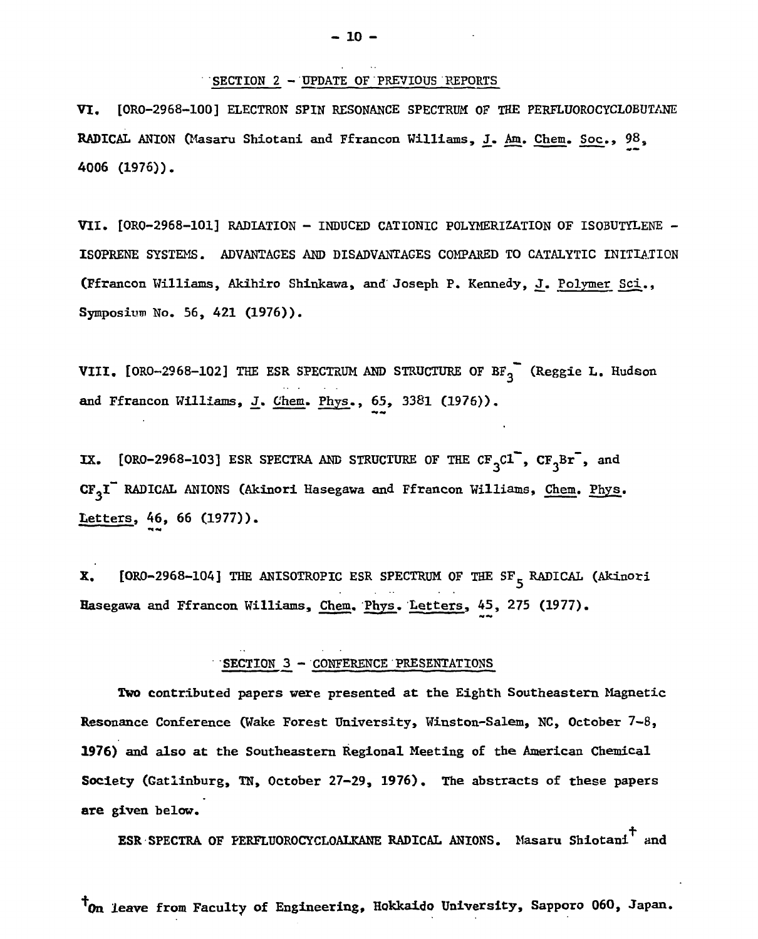### SECTION 2 - UPDATE OF PREVIOUS REPORTS

VI. [0R0-2968-100] ELECTRON SPIN RESONANCE SPECTRUM OF THE PERFLUOROCYCLOBUTANE RADICAL ANION (Masaru Shiotani and Ffrancon Williams, J. Am. Chem. Soc., 98, 4006 (1976)).

VII. [ORO-2968-lOl] RADIATION - INDUCED CATIONIC POLYMERIZATION OF ISOBUTYLENE - ISOPRENE SYSTEMS. ADVANTAGES AND DISADVANTAGES COMPARED TO CATALYTIC INITIATION (Ffrancon Williams, Akihiro Shinkawa, and Joseph P. Kennedy, J. Polymer Sci., Symposium No. 56, 421 (1976)).

VIII. [ORO-2968-102] THE ESR SPECTRUM AND STRUCTURE OF  $B_{3}^{2}$  (Reggie L. Hudson and Ffrancon Williams, J. Chem. Phys., 65, 3381 (1976)).

IX. [ORO-2968-103] ESR SPECTRA AND STRUCTURE OF THE  $CF^{-}_{3}c1$ ,  $CF^{-}_{3}Br^{-}$ , and CF<sub>3</sub>I" RADICAL ANIONS (Akinori Hasegawa and Ffrancon Williams, Chem. Phys. Letters, 46, 66 (1977)).

X. [ORO-2968-104] THE ANISOTROPIC ESR SPECTRUM OF THE SF<sub>5</sub> RADICAL (Akinori Hasegawa and Ffrancon Williams, Chem. Phys. Letters, 45, 275 (1977).

# SECTION 3 - CONFERENCE PRESENTATIONS

Two contributed papers were presented at the Eighth Southeastern Magnetic Resonance Conference (Wake Forest University, Winston-Salem, NC, October 7-8, 1976) and also at the Southeastern Regional Meeting of the American Chemical Society (Gatlinburg, TN, October 27-29, 1976). The abstracts of these papers are given below.

ESR SPECTRA OF PERFLUOROCYCLOALKANE RADICAL ANIONS. Masaru Shiotani<sup>+</sup> and

\*0n leave from Faculty of Engineering, Hokkaido University, Sapporo 060, Japan.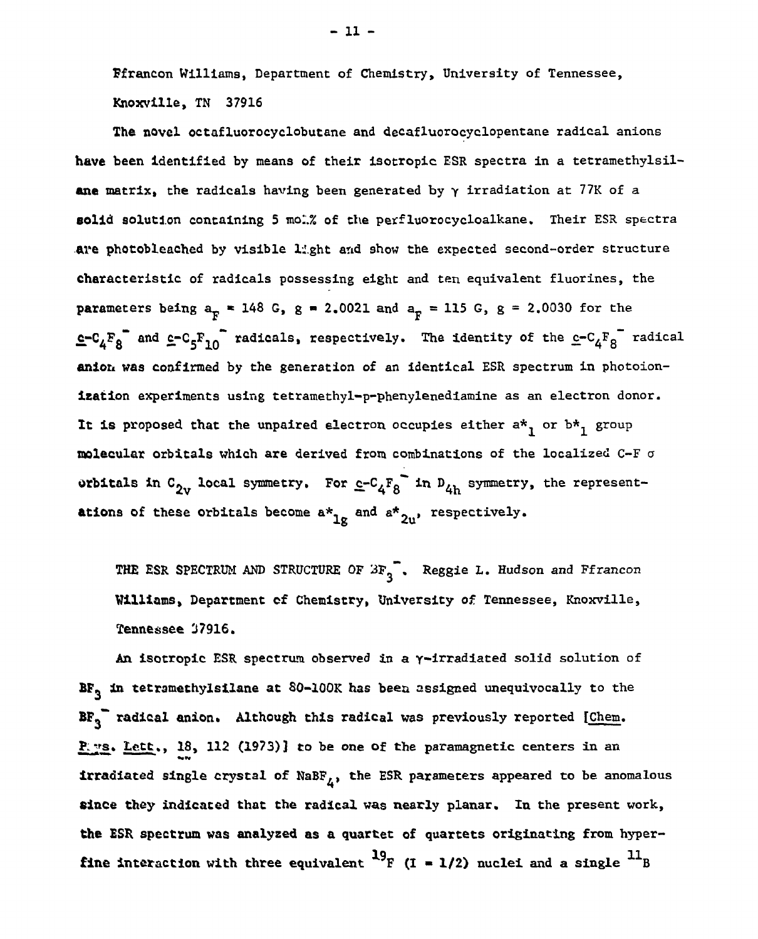Ffrancon Williams, Department of Chemistry, University of Tennessee, Knoxvllle, TN 37916

The novel octafluorocyclobutane and decafluorocyclopentane radical anions have been identified by means of their isotropic ESR spectra in a tetramethylsilane matrix, the radicals having been generated by *y* irradiation at 77K of a solid solution containing **5** mol.% of the **perf**luorocycloalkane. **Their ESR spectra**  are photobleached by visible light and show the expected second-order structure characteristic of radicals possessing eight and ten equivalent fluorines, the parameters being  $a_{\rm F}$  = 148 G, g = 2.0021 and  $a_{\rm F}$  = 115 G, g = 2.0030 for the  $\epsilon$ -C<sub>4</sub> $F_8$  and  $\epsilon$ -C<sub>5</sub> $F_{10}$  radicals, respectively. The identity of the  $\epsilon$ -C<sub>4</sub> $F_8$  radical anion was confirmed by the generation of an identical ESR spectrum in photoionization experiments using tetramethyl-p-phenylenediamine as an electron donor. It is proposed that the unpaired electron occupies either  $a^*$  or  $b^*$  group molecular orbitals which are derived from combinations of the localized  $C-F$  o orbitals in  $C_{2v}$  local symmetry. For  $c-c_4F_8$  in  $D_{4h}$  symmetry, the representations of these orbitals become  $a*_{10}$  and  $a*_{2u}$ , respectively.

THE ESR SPECTRUM AND STRUCTURE OF  $3F_3$ . Reggie L. Hudson and Ffrancon Williams, Department of Chemistry, University of Tennessee, Knoxville, Tennessee 37916.

An isotropic ESR spectrum observed in a y-irradiated solid solution of  $BF<sub>3</sub>$  in tetramethylsilane at  $80-100K$  has been assigned unequivocally to the  $BF_{q}$  radical anion. Although this radical was previously reported [Chem. P. ys. Lett., 18, 112 (1973)] to be one of the paramagnetic centers in an **irradiated single crystal of NaBF<sub>** $<sub>L</sub>$ **, the ESR parameters appeared to be anomalous**</sub></sub> since they indicated that the radical was nearly planar. In the present work, the ESR spectrum was analyzed as a quartet of quartets originating from hyperfine interaction with three equivalent  $\frac{19}{15}$  (I = 1/2) nuclei and a single  $\frac{11}{18}$ 

- 11 -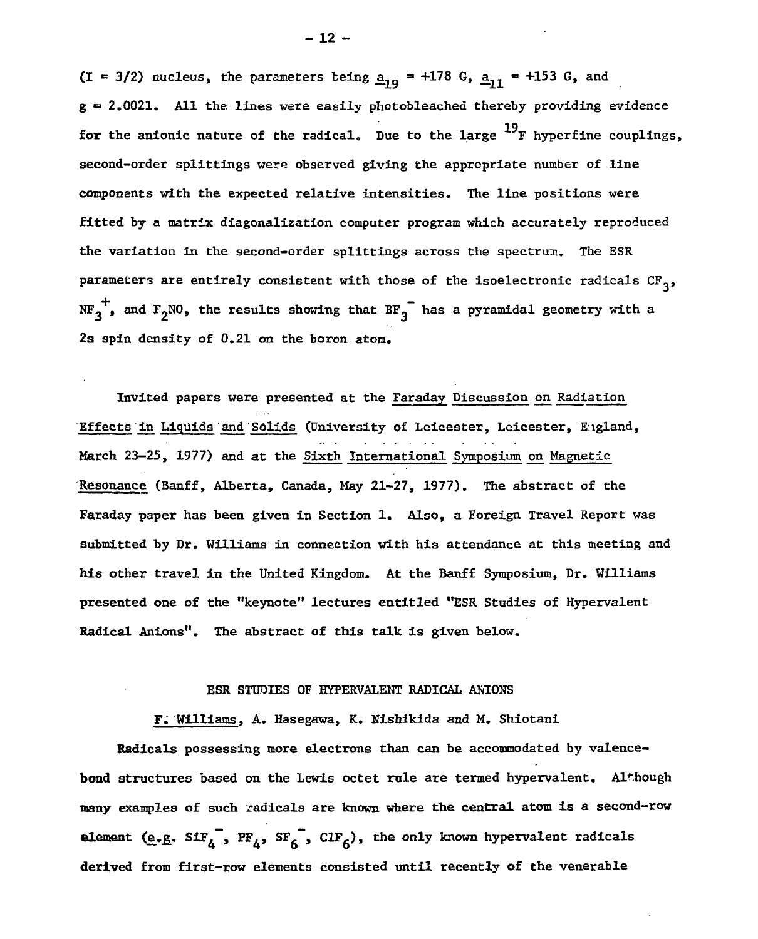(I = 3/2) nucleus, the parameters being  $a_{19} = +178$  G,  $a_{11} = +153$  G, and  $g = 2.0021$ . All the lines were easily photobleached thereby providing evidence for the anionic nature of the radical. Due to the large  $^{19}$ F hyperfine couplings, second-order splittings were observed giving the appropriate number of line components with the expected relative intensities. The line positions were fitted by a matrix diagonalization computer program which accurately reproduced the variation in the second-order splittings across the spectrum. The ESR parameters are entirely consistent with those of the isoelectronic radicals  $CF_3$ ,  $p$  are entirely consistent with the isoelectronic radical scheme of the isoelectronic radical scheme  $\sim$  $\cdot$ , and F2NO, the results showing that  $B_1$  has a pyramidal geometry with a pyramidal geometry with a pyramidal geometry with a pyramidal geometry with a pyramidal geometry with a pyramidal geometry with a pyramidal geomet

Invited papers were presented at the Faraday Discussion on Radiation Effects in Liquids and Solids (University of Leicester, Leicester, England, March 23-25, 1977) and at the Sixth International Symposium on Magnetic Resonance (Banff, Alberta, Canada, May 21-27, 1977). The abstract of the Faraday paper has been given in Section 1. Also, a Foreign Travel Report was submitted by Dr. Williams in connection with his attendance at this meeting and his other travel in the United Kingdom. At the Banff Symposium, Dr. Williams presented one of the "keynote" lectures entitled "ESR Studies of Hypervalent Radical Anions". The abstract of this talk is given below.

### ESR STUDIES OF HYPERVALENT RADICAL ANIONS

F. Williams, A. Hasegawa, K. Nishikida and M. Shiotani

Radicals possessing more electrons than can be accommodated by valencebond structures based on the Lewis octet rule are termed hypervalent. Although many examples of such radicals are known where the central atom is a second-row element (e.g.  $SH_4^{"}$ ,  $PF_4$ ,  $SF_6^{"}$ ,  $ClF_6$ ), the only known hypervalent radicals derived from first-row elements consisted until recently of the venerable